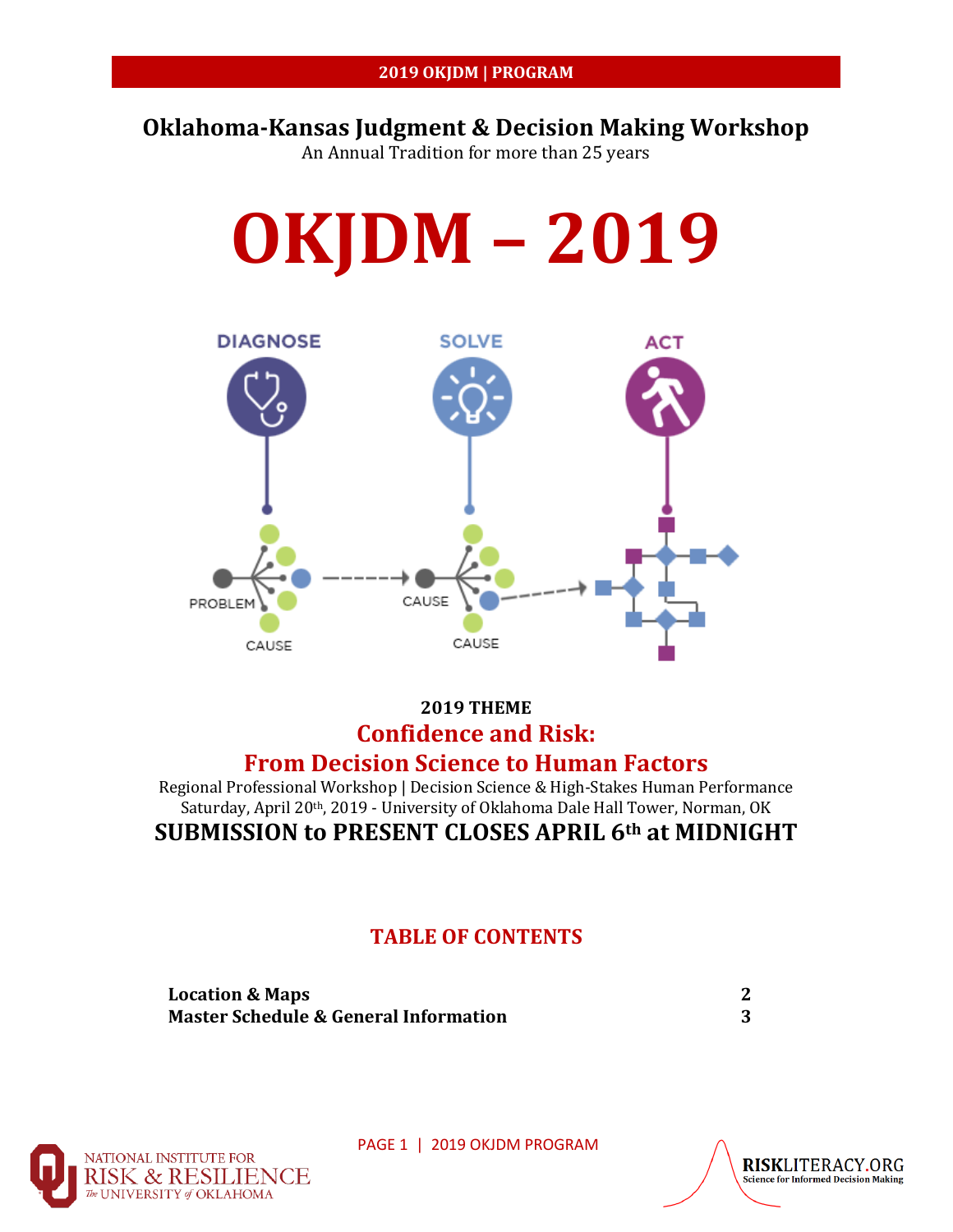# **Oklahoma-Kansas Judgment & Decision Making Workshop**

An Annual Tradition for more than 25 years



## **2019 THEME Confidence and Risk: From Decision Science to Human Factors**

Regional Professional Workshop | Decision Science & High-Stakes Human Performance Saturday, April 20th, 2019 - University of Oklahoma Dale Hall Tower, Norman, OK **SUBMISSION to PRESENT CLOSES APRIL 6th at MIDNIGHT** 

## **TABLE OF CONTENTS**

| <b>Location &amp; Maps</b>                       |  |
|--------------------------------------------------|--|
| <b>Master Schedule &amp; General Information</b> |  |



PAGE 1 | 2019 OKJDM PROGRAM

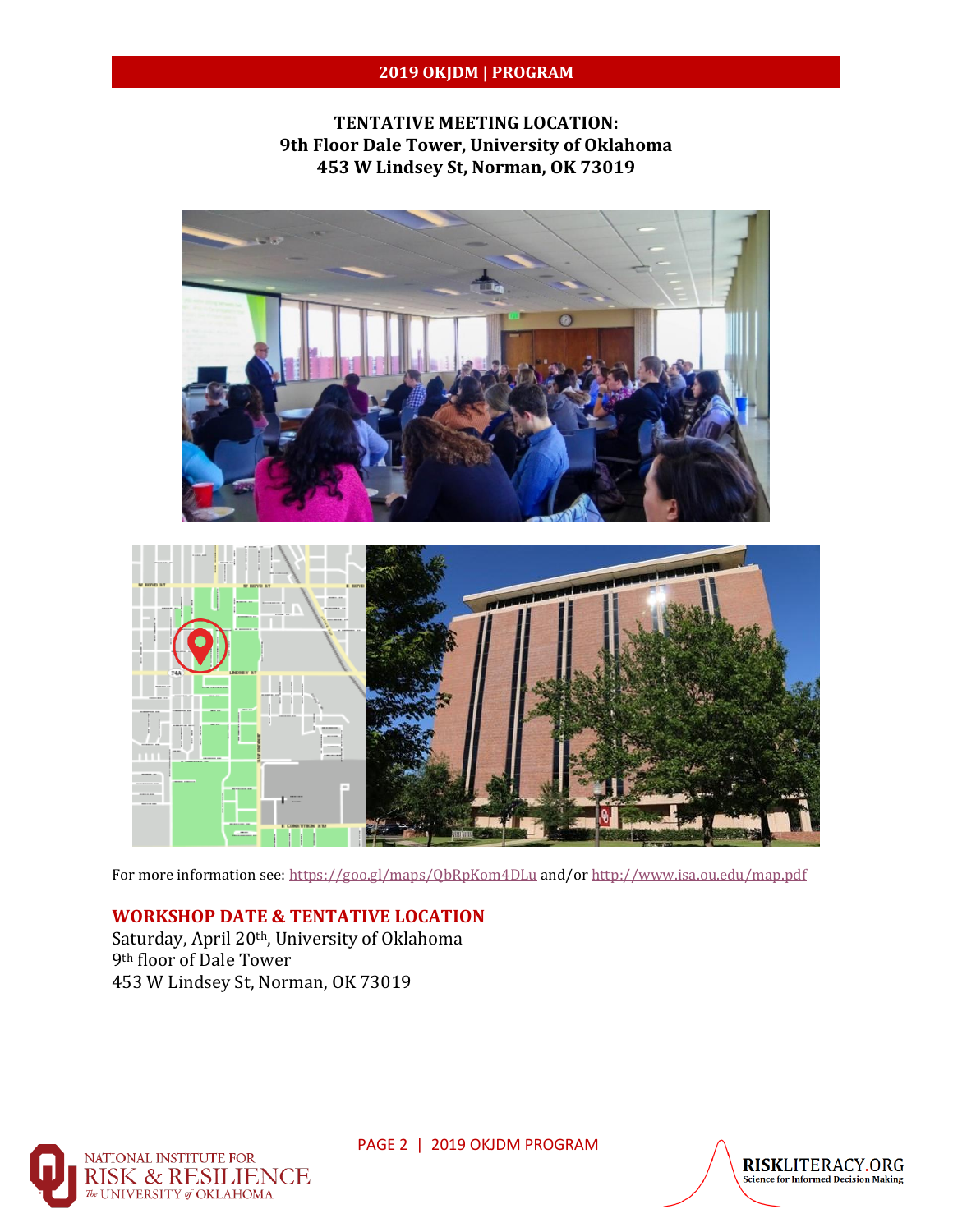### **2019 OKJDM | PROGRAM**

### **TENTATIVE MEETING LOCATION: 9th Floor Dale Tower, University of Oklahoma 453 W Lindsey St, Norman, OK 73019**





For more information see:<https://goo.gl/maps/QbRpKom4DLu> and/o[r http://www.isa.ou.edu/map.pdf](http://www.isa.ou.edu/map.pdf)

#### **WORKSHOP DATE & TENTATIVE LOCATION**

Saturday, April 20<sup>th</sup>, University of Oklahoma 9th floor of Dale Tower 453 W Lindsey St, Norman, OK 73019



PAGE 2 | 2019 OKJDM PROGRAM